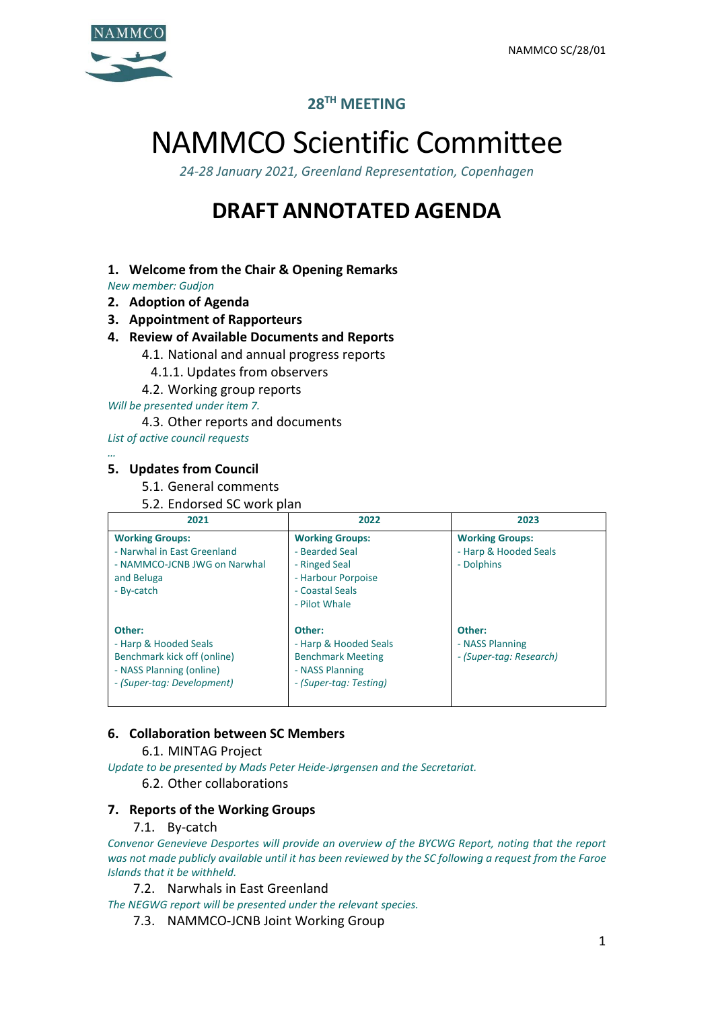

# **28TH MEETING**

# NAMMCO Scientific Committee

*24-28 January 2021, Greenland Representation, Copenhagen*

# **DRAFT ANNOTATED AGENDA**

# **1. Welcome from the Chair & Opening Remarks**

*New member: Gudjon*

- **2. Adoption of Agenda**
- **3. Appointment of Rapporteurs**
- **4. Review of Available Documents and Reports**
	- 4.1. National and annual progress reports
		- 4.1.1. Updates from observers
		- 4.2. Working group reports

*Will be presented under item 7.*

- 4.3. Other reports and documents
- *List of active council requests*

#### *…* **5. Updates from Council**

5.1. General comments

5.2. Endorsed SC work plan

| 2021                                                                                                                     | 2022                                                                                                                | 2023                                                          |
|--------------------------------------------------------------------------------------------------------------------------|---------------------------------------------------------------------------------------------------------------------|---------------------------------------------------------------|
| <b>Working Groups:</b><br>- Narwhal in East Greenland<br>- NAMMCO-JCNB JWG on Narwhal<br>and Beluga<br>- By-catch        | <b>Working Groups:</b><br>- Bearded Seal<br>- Ringed Seal<br>- Harbour Porpoise<br>- Coastal Seals<br>- Pilot Whale | <b>Working Groups:</b><br>- Harp & Hooded Seals<br>- Dolphins |
| Other:<br>- Harp & Hooded Seals<br>Benchmark kick off (online)<br>- NASS Planning (online)<br>- (Super-tag: Development) | Other:<br>- Harp & Hooded Seals<br><b>Benchmark Meeting</b><br>- NASS Planning<br>- (Super-tag: Testing)            | Other:<br>- NASS Planning<br>- (Super-tag: Research)          |

# **6. Collaboration between SC Members**

6.1. MINTAG Project

*Update to be presented by Mads Peter Heide-Jørgensen and the Secretariat.*

# 6.2. Other collaborations

# **7. Reports of the Working Groups**

# 7.1. By-catch

*Convenor Genevieve Desportes will provide an overview of the BYCWG Report, noting that the report was not made publicly available until it has been reviewed by the SC following a request from the Faroe Islands that it be withheld.*

7.2. Narwhals in East Greenland

*The NEGWG report will be presented under the relevant species.*

7.3. NAMMCO-JCNB Joint Working Group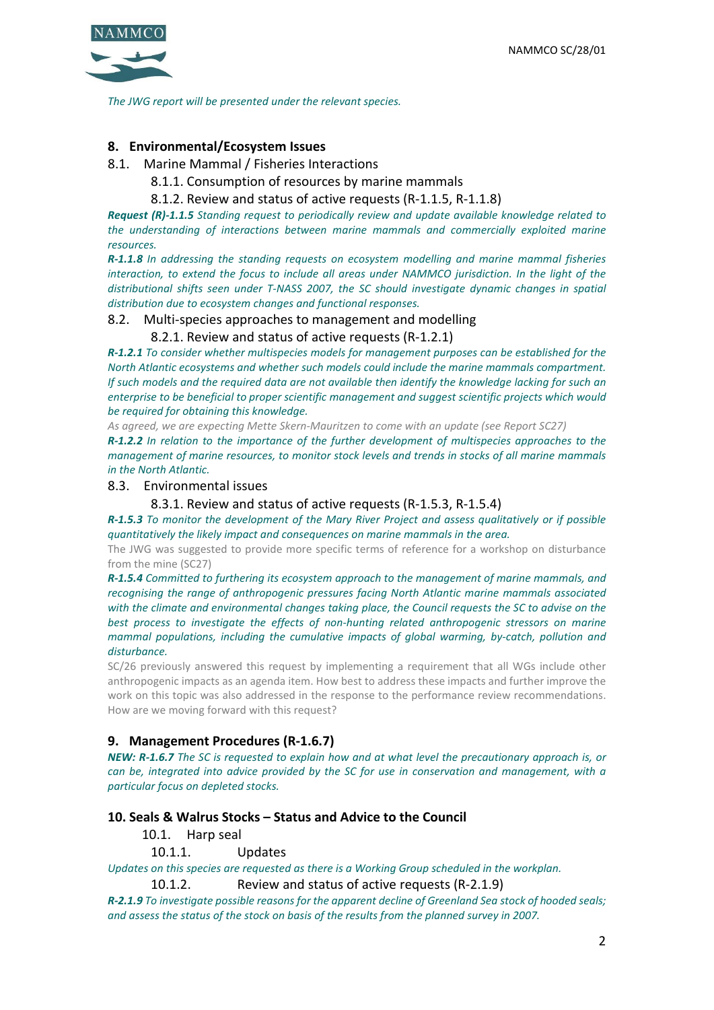

*The JWG report will be presented under the relevant species.*

### **8. Environmental/Ecosystem Issues**

- 8.1. Marine Mammal / Fisheries Interactions
	- 8.1.1. Consumption of resources by marine mammals
	- 8.1.2. Review and status of active requests (R-1.1.5, R-1.1.8)

*Request (R)-1.1.5 Standing request to periodically review and update available knowledge related to the understanding of interactions between marine mammals and commercially exploited marine resources.*

*R-1.1.8 In addressing the standing requests on ecosystem modelling and marine mammal fisheries interaction, to extend the focus to include all areas under NAMMCO jurisdiction. In the light of the distributional shifts seen under T-NASS 2007, the SC should investigate dynamic changes in spatial distribution due to ecosystem changes and functional responses.* 

#### 8.2. Multi-species approaches to management and modelling

#### 8.2.1. Review and status of active requests (R-1.2.1)

*R-1.2.1 To consider whether multispecies models for management purposes can be established for the North Atlantic ecosystems and whether such models could include the marine mammals compartment. If such models and the required data are not available then identify the knowledge lacking for such an enterprise to be beneficial to proper scientific management and suggest scientific projects which would be required for obtaining this knowledge.*

*As agreed, we are expecting Mette Skern-Mauritzen to come with an update (see Report SC27)*

*R-1.2.2 In relation to the importance of the further development of multispecies approaches to the management of marine resources, to monitor stock levels and trends in stocks of all marine mammals in the North Atlantic.*

#### 8.3. Environmental issues

#### 8.3.1. Review and status of active requests (R-1.5.3, R-1.5.4)

*R-1.5.3 To monitor the development of the Mary River Project and assess qualitatively or if possible quantitatively the likely impact and consequences on marine mammals in the area.*

The JWG was suggested to provide more specific terms of reference for a workshop on disturbance from the mine (SC27)

*R-1.5.4 Committed to furthering its ecosystem approach to the management of marine mammals, and recognising the range of anthropogenic pressures facing North Atlantic marine mammals associated with the climate and environmental changes taking place, the Council requests the SC to advise on the best process to investigate the effects of non-hunting related anthropogenic stressors on marine mammal populations, including the cumulative impacts of global warming, by-catch, pollution and disturbance.*

SC/26 previously answered this request by implementing a requirement that all WGs include other anthropogenic impacts as an agenda item. How best to address these impacts and further improve the work on this topic was also addressed in the response to the performance review recommendations. How are we moving forward with this request?

#### **9. Management Procedures (R-1.6.7)**

*NEW: R-1.6.7 The SC is requested to explain how and at what level the precautionary approach is, or can be, integrated into advice provided by the SC for use in conservation and management, with a particular focus on depleted stocks.*

#### **10. Seals & Walrus Stocks – Status and Advice to the Council**

10.1. Harp seal

#### 10.1.1. Updates

*Updates on this species are requested as there is a Working Group scheduled in the workplan.*

10.1.2. Review and status of active requests (R-2.1.9)

*R-2.1.9 To investigate possible reasons for the apparent decline of Greenland Sea stock of hooded seals; and assess the status of the stock on basis of the results from the planned survey in 2007.*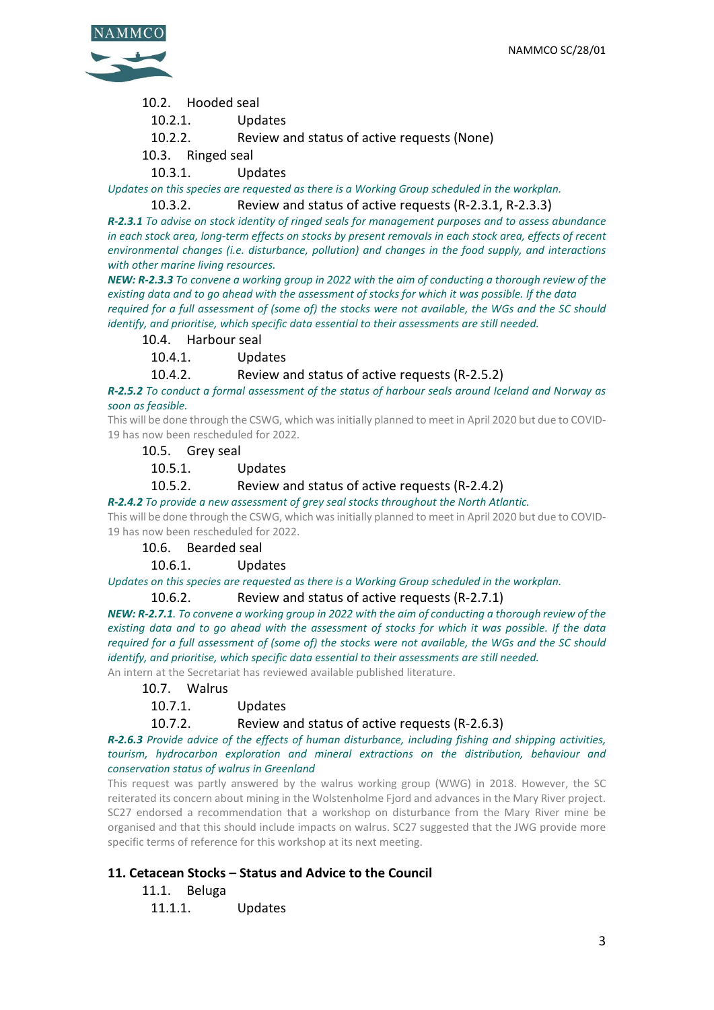

- 10.2. Hooded seal
	- 10.2.1. Updates
	- 10.2.2. Review and status of active requests (None)
- 10.3. Ringed seal
	- 10.3.1. Updates

*Updates on this species are requested as there is a Working Group scheduled in the workplan.*

#### 10.3.2. Review and status of active requests (R-2.3.1, R-2.3.3)

*R-2.3.1 To advise on stock identity of ringed seals for management purposes and to assess abundance in each stock area, long-term effects on stocks by present removals in each stock area, effects of recent environmental changes (i.e. disturbance, pollution) and changes in the food supply, and interactions with other marine living resources.*

*NEW: R-2.3.3 To convene a working group in 2022 with the aim of conducting a thorough review of the existing data and to go ahead with the assessment of stocks for which it was possible. If the data required for a full assessment of (some of) the stocks were not available, the WGs and the SC should identify, and prioritise, which specific data essential to their assessments are still needed.*

#### 10.4. Harbour seal

10.4.1. Updates

#### 10.4.2. Review and status of active requests (R-2.5.2)

*R-2.5.2 To conduct a formal assessment of the status of harbour seals around Iceland and Norway as soon as feasible.*

This will be done through the CSWG, which was initially planned to meet in April 2020 but due to COVID-19 has now been rescheduled for 2022.

10.5. Grey seal

10.5.1. Updates

10.5.2. Review and status of active requests (R-2.4.2)

#### *R-2.4.2 To provide a new assessment of grey seal stocks throughout the North Atlantic.*

This will be done through the CSWG, which was initially planned to meet in April 2020 but due to COVID-19 has now been rescheduled for 2022.

#### 10.6. Bearded seal

#### 10.6.1. Updates

*Updates on this species are requested as there is a Working Group scheduled in the workplan.*

#### 10.6.2. Review and status of active requests (R-2.7.1)

*NEW: R-2.7.1. To convene a working group in 2022 with the aim of conducting a thorough review of the existing data and to go ahead with the assessment of stocks for which it was possible. If the data required for a full assessment of (some of) the stocks were not available, the WGs and the SC should identify, and prioritise, which specific data essential to their assessments are still needed.*

An intern at the Secretariat has reviewed available published literature.

#### 10.7. Walrus

#### 10.7.1. Updates

10.7.2. Review and status of active requests (R-2.6.3)

#### *R-2.6.3 Provide advice of the effects of human disturbance, including fishing and shipping activities, tourism, hydrocarbon exploration and mineral extractions on the distribution, behaviour and conservation status of walrus in Greenland*

This request was partly answered by the walrus working group (WWG) in 2018. However, the SC reiterated its concern about mining in the Wolstenholme Fjord and advances in the Mary River project. SC27 endorsed a recommendation that a workshop on disturbance from the Mary River mine be organised and that this should include impacts on walrus. SC27 suggested that the JWG provide more specific terms of reference for this workshop at its next meeting.

# **11. Cetacean Stocks – Status and Advice to the Council**

- 11.1. Beluga
- 11.1.1. Updates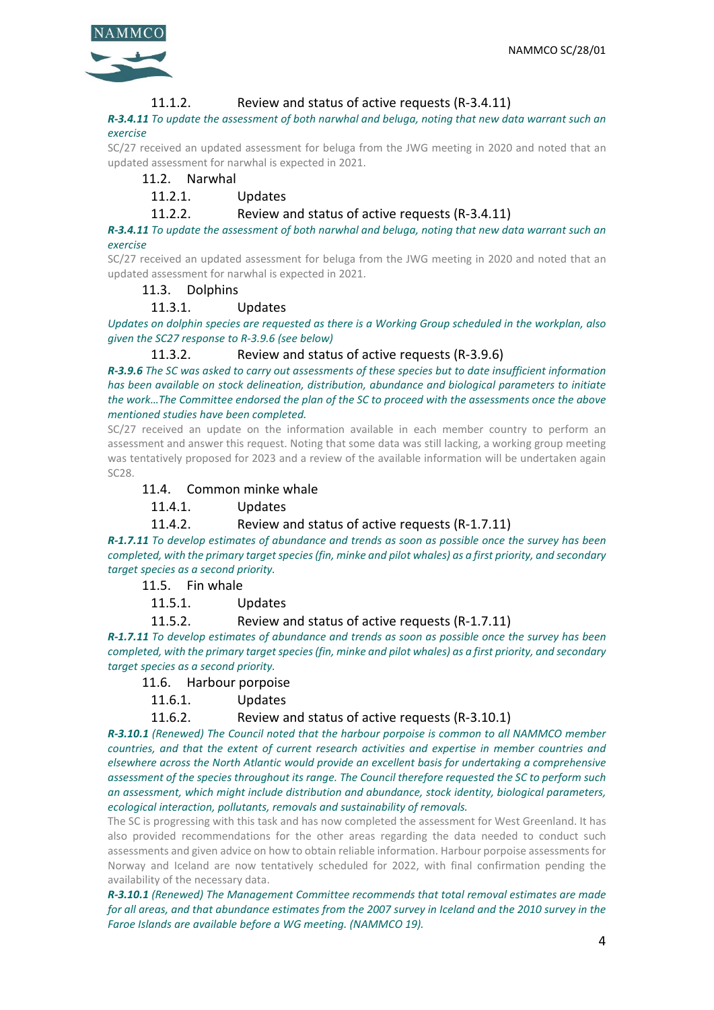

#### 11.1.2. Review and status of active requests (R-3.4.11)

*R-3.4.11 To update the assessment of both narwhal and beluga, noting that new data warrant such an exercise*

SC/27 received an updated assessment for beluga from the JWG meeting in 2020 and noted that an updated assessment for narwhal is expected in 2021.

#### 11.2. Narwhal

# 11.2.1. Updates

#### 11.2.2. Review and status of active requests (R-3.4.11)

*R-3.4.11 To update the assessment of both narwhal and beluga, noting that new data warrant such an exercise*

SC/27 received an updated assessment for beluga from the JWG meeting in 2020 and noted that an updated assessment for narwhal is expected in 2021.

#### 11.3. Dolphins

#### 11.3.1. Updates

*Updates on dolphin species are requested as there is a Working Group scheduled in the workplan, also given the SC27 response to R-3.9.6 (see below)*

11.3.2. Review and status of active requests (R-3.9.6)

*R-3.9.6 The SC was asked to carry out assessments of these species but to date insufficient information has been available on stock delineation, distribution, abundance and biological parameters to initiate the work…The Committee endorsed the plan of the SC to proceed with the assessments once the above mentioned studies have been completed.*

SC/27 received an update on the information available in each member country to perform an assessment and answer this request. Noting that some data was still lacking, a working group meeting was tentatively proposed for 2023 and a review of the available information will be undertaken again SC28.

#### 11.4. Common minke whale

11.4.1. Updates

#### 11.4.2. Review and status of active requests (R-1.7.11)

*R-1.7.11 To develop estimates of abundance and trends as soon as possible once the survey has been completed, with the primary target species (fin, minke and pilot whales) as a first priority, and secondary target species as a second priority.*

11.5. Fin whale

11.5.1. Updates

11.5.2. Review and status of active requests (R-1.7.11)

*R-1.7.11 To develop estimates of abundance and trends as soon as possible once the survey has been completed, with the primary target species (fin, minke and pilot whales) as a first priority, and secondary target species as a second priority.*

#### 11.6. Harbour porpoise

11.6.1. Updates

11.6.2. Review and status of active requests (R-3.10.1)

*R-3.10.1 (Renewed) The Council noted that the harbour porpoise is common to all NAMMCO member countries, and that the extent of current research activities and expertise in member countries and elsewhere across the North Atlantic would provide an excellent basis for undertaking a comprehensive assessment of the species throughout its range. The Council therefore requested the SC to perform such an assessment, which might include distribution and abundance, stock identity, biological parameters, ecological interaction, pollutants, removals and sustainability of removals.*

The SC is progressing with this task and has now completed the assessment for West Greenland. It has also provided recommendations for the other areas regarding the data needed to conduct such assessments and given advice on how to obtain reliable information. Harbour porpoise assessments for Norway and Iceland are now tentatively scheduled for 2022, with final confirmation pending the availability of the necessary data.

*R-3.10.1 (Renewed) The Management Committee recommends that total removal estimates are made for all areas, and that abundance estimates from the 2007 survey in Iceland and the 2010 survey in the Faroe Islands are available before a WG meeting. (NAMMCO 19).*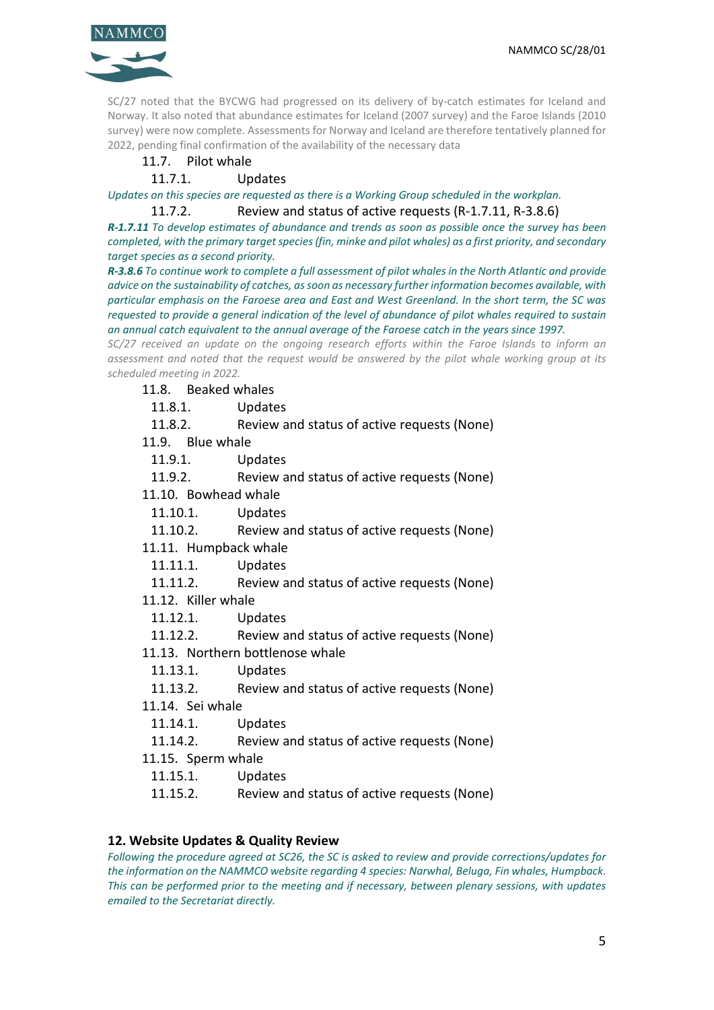

SC/27 noted that the BYCWG had progressed on its delivery of by-catch estimates for Iceland and Norway. It also noted that abundance estimates for Iceland (2007 survey) and the Faroe Islands (2010 survey) were now complete. Assessments for Norway and Iceland are therefore tentatively planned for 2022, pending final confirmation of the availability of the necessary data

# 11.7. Pilot whale

# 11.7.1. Updates

*Updates on this species are requested as there is a Working Group scheduled in the workplan.*

11.7.2. Review and status of active requests (R-1.7.11, R-3.8.6)

*R-1.7.11 To develop estimates of abundance and trends as soon as possible once the survey has been completed, with the primary target species (fin, minke and pilot whales) as a first priority, and secondary target species as a second priority.*

*R-3.8.6 To continue work to complete a full assessment of pilot whales in the North Atlantic and provide advice on the sustainability of catches, as soon as necessary further information becomes available, with particular emphasis on the Faroese area and East and West Greenland. In the short term, the SC was requested to provide a general indication of the level of abundance of pilot whales required to sustain an annual catch equivalent to the annual average of the Faroese catch in the years since 1997.*

*SC/27 received an update on the ongoing research efforts within the Faroe Islands to inform an assessment and noted that the request would be answered by the pilot whale working group at its scheduled meeting in 2022.*

11.8. Beaked whales

11.8.1. Updates

11.8.2. Review and status of active requests (None)

11.9. Blue whale

11.9.1. Updates

11.9.2. Review and status of active requests (None)

11.10. Bowhead whale

11.10.1. Updates

11.10.2. Review and status of active requests (None)

11.11. Humpback whale

11.11.1. Updates

11.11.2. Review and status of active requests (None)

11.12. Killer whale

11.12.1. Updates

11.12.2. Review and status of active requests (None)

11.13. Northern bottlenose whale

11.13.1. Updates

11.13.2. Review and status of active requests (None)

11.14. Sei whale

11.14.1. Updates

11.14.2. Review and status of active requests (None)

11.15. Sperm whale

11.15.1. Updates

11.15.2. Review and status of active requests (None)

**12. Website Updates & Quality Review**

*Following the procedure agreed at SC26, the SC is asked to review and provide corrections/updates for the information on the NAMMCO website regarding 4 species: Narwhal, Beluga, Fin whales, Humpback. This can be performed prior to the meeting and if necessary, between plenary sessions, with updates emailed to the Secretariat directly.*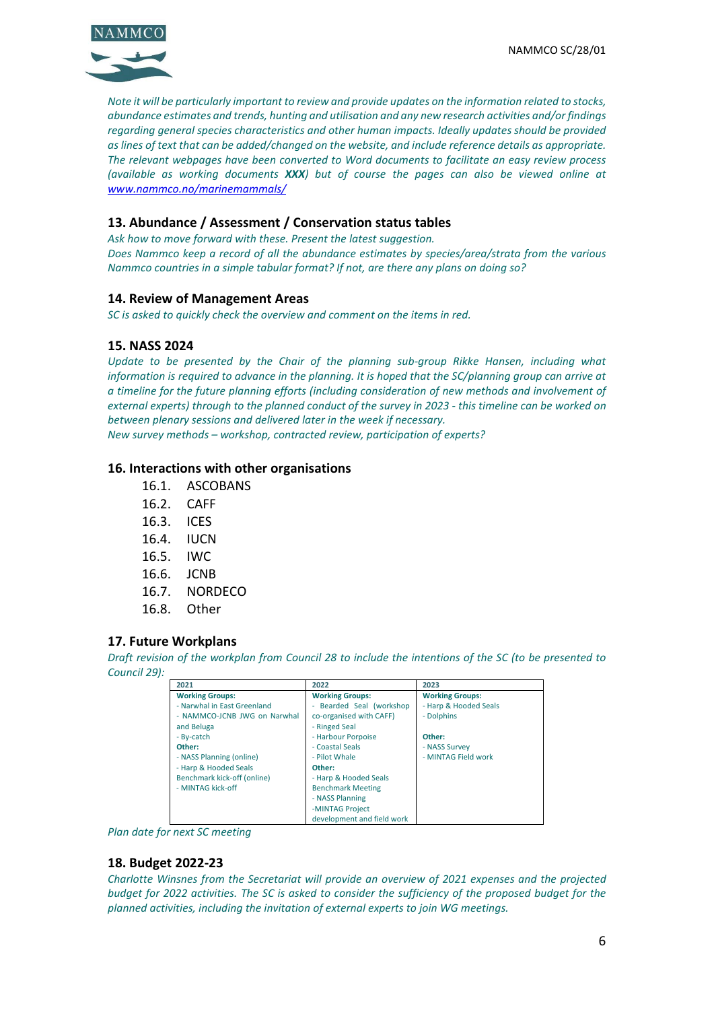

*Note it will be particularly important to review and provide updates on the information related to stocks, abundance estimates and trends, hunting and utilisation and any new research activities and/or findings regarding general species characteristics and other human impacts. Ideally updates should be provided as lines of text that can be added/changed on the website, and include reference details as appropriate. The relevant webpages have been converted to Word documents to facilitate an easy review process (available as working documents XXX) but of course the pages can also be viewed online at [www.nammco.no/marinemammals/](http://www.nammco.no/marinemammals/)*

# **13. Abundance / Assessment / Conservation status tables**

*Ask how to move forward with these. Present the latest suggestion. Does Nammco keep a record of all the abundance estimates by species/area/strata from the various Nammco countries in a simple tabular format? If not, are there any plans on doing so?* 

#### **14. Review of Management Areas**

*SC is asked to quickly check the overview and comment on the items in red.*

#### **15. NASS 2024**

*Update to be presented by the Chair of the planning sub-group Rikke Hansen, including what information is required to advance in the planning. It is hoped that the SC/planning group can arrive at a timeline for the future planning efforts (including consideration of new methods and involvement of external experts) through to the planned conduct of the survey in 2023 - this timeline can be worked on between plenary sessions and delivered later in the week if necessary.*

*New survey methods – workshop, contracted review, participation of experts?*

#### **16. Interactions with other organisations**

- 16.1. ASCOBANS
- 16.2. CAFF
- 16.3. ICES
- 16.4. IUCN
- 16.5. IWC
- 16.6. JCNB
- 16.7. NORDECO
- 16.8. Other

#### **17. Future Workplans**

*Draft revision of the workplan from Council 28 to include the intentions of the SC (to be presented to Council 29):*

| 2021                         | 2022                                               | 2023                   |
|------------------------------|----------------------------------------------------|------------------------|
| <b>Working Groups:</b>       | <b>Working Groups:</b>                             | <b>Working Groups:</b> |
| - Narwhal in East Greenland  | Bearded Seal (workshop<br>$\overline{\phantom{0}}$ | - Harp & Hooded Seals  |
| - NAMMCO-JCNB JWG on Narwhal | co-organised with CAFF)                            | - Dolphins             |
| and Beluga                   | - Ringed Seal                                      |                        |
| - By-catch                   | - Harbour Porpoise                                 | Other:                 |
| Other:                       | - Coastal Seals                                    | - NASS Survey          |
| - NASS Planning (online)     | - Pilot Whale                                      | - MINTAG Field work    |
| - Harp & Hooded Seals        | Other:                                             |                        |
| Benchmark kick-off (online)  | - Harp & Hooded Seals                              |                        |
| - MINTAG kick-off            | <b>Benchmark Meeting</b>                           |                        |
|                              | - NASS Planning                                    |                        |
|                              | -MINTAG Project                                    |                        |
|                              | development and field work                         |                        |

*Plan date for next SC meeting*

#### **18. Budget 2022-23**

*Charlotte Winsnes from the Secretariat will provide an overview of 2021 expenses and the projected budget for 2022 activities. The SC is asked to consider the sufficiency of the proposed budget for the planned activities, including the invitation of external experts to join WG meetings.*